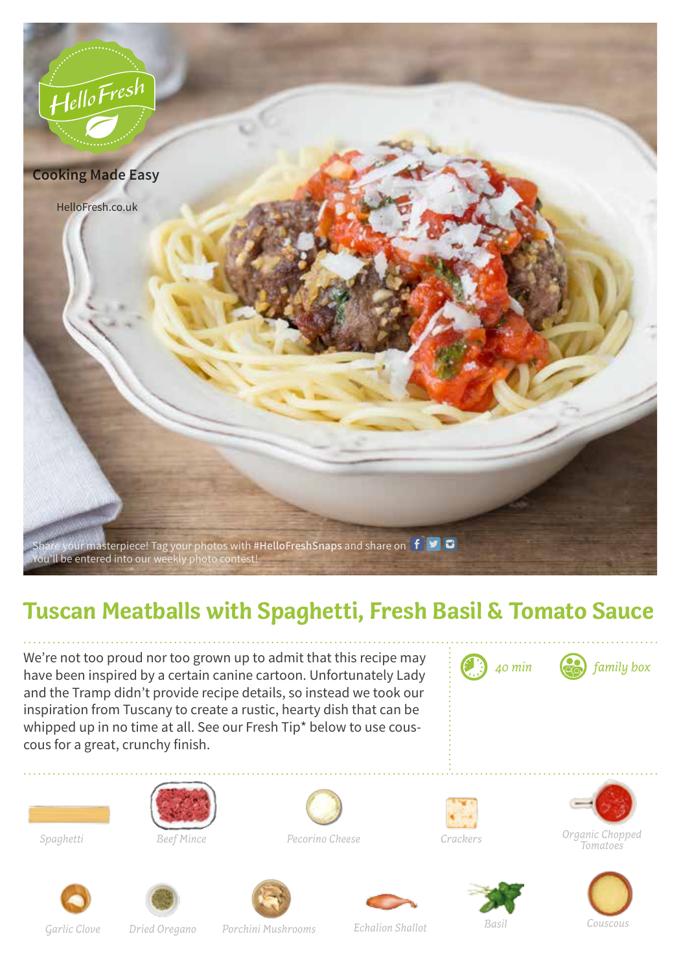

## **Tuscan Meatballs with Spaghetti, Fresh Basil & Tomato Sauce**

We're not too proud nor too grown up to admit that this recipe may have been inspired by a certain canine cartoon. Unfortunately Lady and the Tramp didn't provide recipe details, so instead we took our inspiration from Tuscany to create a rustic, hearty dish that can be whipped up in no time at all. See our Fresh Tip\* below to use couscous for a great, crunchy finish.



*40 min family box*













*Spaghetti Beef Mince Pecorino Cheese Crackers Organic Chopped Tomatoes*







*Garlic Clove Porchini Mushrooms Echalion Shallot Basil Couscous Dried Oregano*